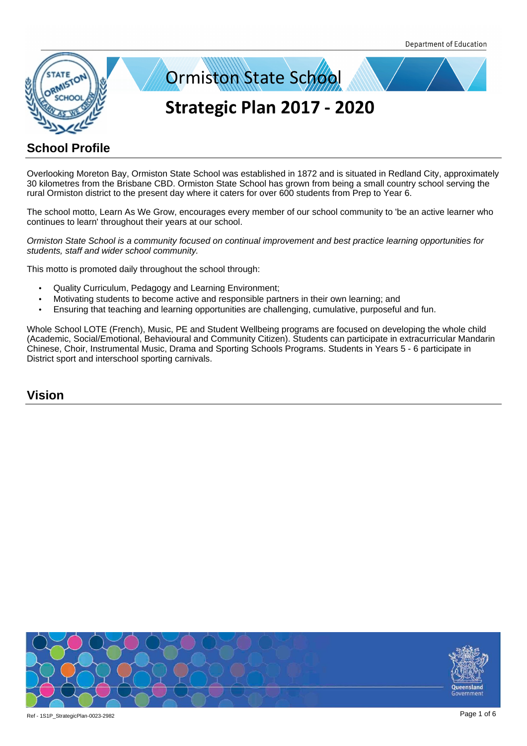

Overlooking Moreton Bay, Ormiston State School was established in 1872 and is situated in Redland City, approximately 30 kilometres from the Brisbane CBD. Ormiston State School has grown from being a small country school serving the rural Ormiston district to the present day where it caters for over 600 students from Prep to Year 6.

The school motto, Learn As We Grow, encourages every member of our school community to 'be an active learner who continues to learn' throughout their years at our school.

Ormiston State School is a community focused on continual improvement and best practice learning opportunities for students, staff and wider school community.

This motto is promoted daily throughout the school through:

- Quality Curriculum, Pedagogy and Learning Environment;
- Motivating students to become active and responsible partners in their own learning; and
- Ensuring that teaching and learning opportunities are challenging, cumulative, purposeful and fun.

Whole School LOTE (French), Music, PE and Student Wellbeing programs are focused on developing the whole child (Academic, Social/Emotional, Behavioural and Community Citizen). Students can participate in extracurricular Mandarin Chinese, Choir, Instrumental Music, Drama and Sporting Schools Programs. Students in Years 5 - 6 participate in District sport and interschool sporting carnivals.

## **Vision**

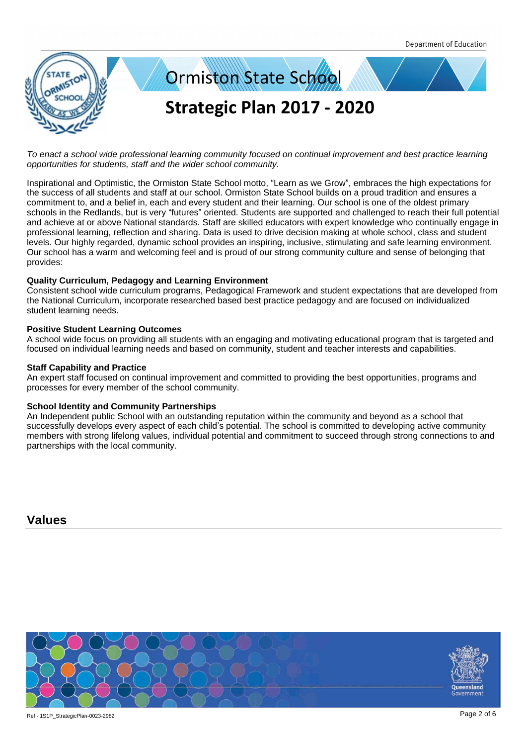

To enact a school wide professional learning community focused on continual improvement and best practice learning opportunities for students, staff and the wider school community.

Inspirational and Optimistic, the Ormiston State School motto, "Learn as we Grow", embraces the high expectations for the success of all students and staff at our school. Ormiston State School builds on a proud tradition and ensures a commitment to, and a belief in, each and every student and their learning. Our school is one of the oldest primary schools in the Redlands, but is very "futures" oriented. Students are supported and challenged to reach their full potential and achieve at or above National standards. Staff are skilled educators with expert knowledge who continually engage in professional learning, reflection and sharing. Data is used to drive decision making at whole school, class and student levels. Our highly regarded, dynamic school provides an inspiring, inclusive, stimulating and safe learning environment. Our school has a warm and welcoming feel and is proud of our strong community culture and sense of belonging that provides:

#### **Quality Curriculum, Pedagogy and Learning Environment**

Consistent school wide curriculum programs, Pedagogical Framework and student expectations that are developed from the National Curriculum, incorporate researched based best practice pedagogy and are focused on individualized student learning needs.

#### **Positive Student Learning Outcomes**

A school wide focus on providing all students with an engaging and motivating educational program that is targeted and focused on individual learning needs and based on community, student and teacher interests and capabilities.

#### **Staff Capability and Practice**

An expert staff focused on continual improvement and committed to providing the best opportunities, programs and processes for every member of the school community.

#### **School Identity and Community Partnerships**

An Independent public School with an outstanding reputation within the community and beyond as a school that successfully develops every aspect of each child's potential. The school is committed to developing active community members with strong lifelong values, individual potential and commitment to succeed through strong connections to and partnerships with the local community.

**Values**

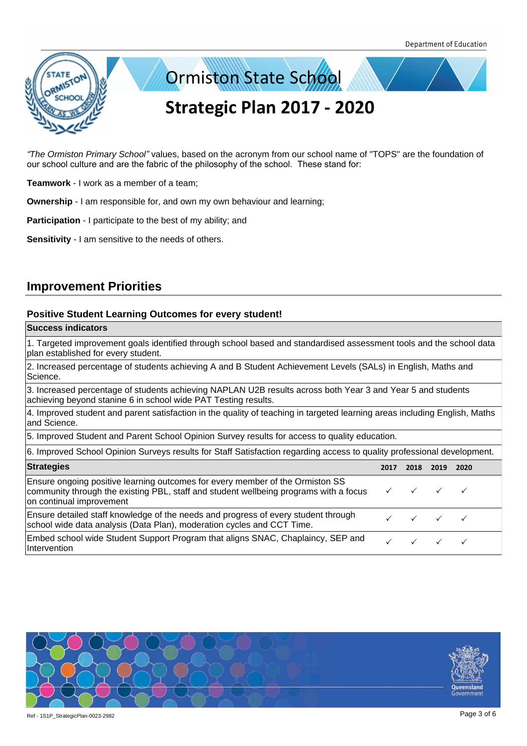



*"*The Ormiston Primary School*"* values, based on the acronym from our school name of "TOPS" are the foundation of our school culture and are the fabric of the philosophy of the school. These stand for:

**Teamwork** - I work as a member of a team;

**Ownership** - I am responsible for, and own my own behaviour and learning;

**Participation** - I participate to the best of my ability; and

**Sensitivity** - I am sensitive to the needs of others.

## **Improvement Priorities**

### **Positive Student Learning Outcomes for every student!**

#### **Success indicators**

1. Targeted improvement goals identified through school based and standardised assessment tools and the school data plan established for every student.

2. Increased percentage of students achieving A and B Student Achievement Levels (SALs) in English, Maths and Science.

3. Increased percentage of students achieving NAPLAN U2B results across both Year 3 and Year 5 and students achieving beyond stanine 6 in school wide PAT Testing results.

4. Improved student and parent satisfaction in the quality of teaching in targeted learning areas including English, Maths and Science.

5. Improved Student and Parent School Opinion Survey results for access to quality education.

| 6. Improved School Opinion Surveys results for Staff Satisfaction regarding access to quality professional development.                                                                                                          |      |                                            |      |      |  |
|----------------------------------------------------------------------------------------------------------------------------------------------------------------------------------------------------------------------------------|------|--------------------------------------------|------|------|--|
| <b>Strategies</b>                                                                                                                                                                                                                | 2017 | 2018                                       | 2019 | 2020 |  |
| Ensure ongoing positive learning outcomes for every member of the Ormiston SS<br>community through the existing PBL, staff and student wellbeing programs with a focus $\forall$ $\forall$ $\forall$<br>on continual improvement |      |                                            |      |      |  |
| Ensure detailed staff knowledge of the needs and progress of every student through<br>school wide data analysis (Data Plan), moderation cycles and CCT Time.                                                                     |      | $\checkmark\quad\checkmark\quad\checkmark$ |      |      |  |
| Embed school wide Student Support Program that aligns SNAC, Chaplaincy, SEP and<br>Intervention                                                                                                                                  |      | $\checkmark$ $\checkmark$ $\checkmark$     |      |      |  |

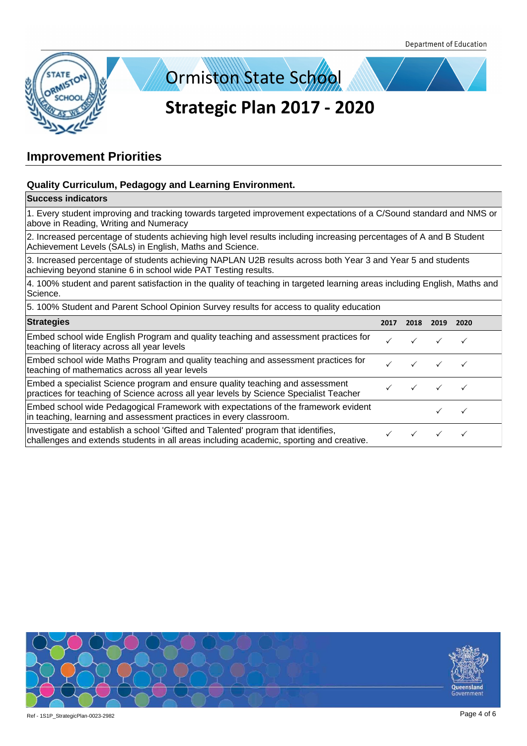



## **Improvement Priorities**

## **Quality Curriculum, Pedagogy and Learning Environment.**

#### **Success indicators**

1. Every student improving and tracking towards targeted improvement expectations of a C/Sound standard and NMS or above in Reading, Writing and Numeracy

2. Increased percentage of students achieving high level results including increasing percentages of A and B Student Achievement Levels (SALs) in English, Maths and Science.

3. Increased percentage of students achieving NAPLAN U2B results across both Year 3 and Year 5 and students achieving beyond stanine 6 in school wide PAT Testing results.

4. 100% student and parent satisfaction in the quality of teaching in targeted learning areas including English, Maths and Science.

5. 100% Student and Parent School Opinion Survey results for access to quality education

| <b>Strategies</b>                                                                                                                                                            | 2017 | 2018 | 2019 | 2020 |  |
|------------------------------------------------------------------------------------------------------------------------------------------------------------------------------|------|------|------|------|--|
| Embed school wide English Program and quality teaching and assessment practices for<br>teaching of literacy across all year levels                                           |      |      |      |      |  |
| Embed school wide Maths Program and quality teaching and assessment practices for<br>teaching of mathematics across all year levels                                          |      |      |      |      |  |
| Embed a specialist Science program and ensure quality teaching and assessment<br>practices for teaching of Science across all year levels by Science Specialist Teacher      |      |      |      |      |  |
| Embed school wide Pedagogical Framework with expectations of the framework evident<br>in teaching, learning and assessment practices in every classroom.                     |      |      |      |      |  |
| Investigate and establish a school 'Gifted and Talented' program that identifies,<br>challenges and extends students in all areas including academic, sporting and creative. |      |      |      |      |  |

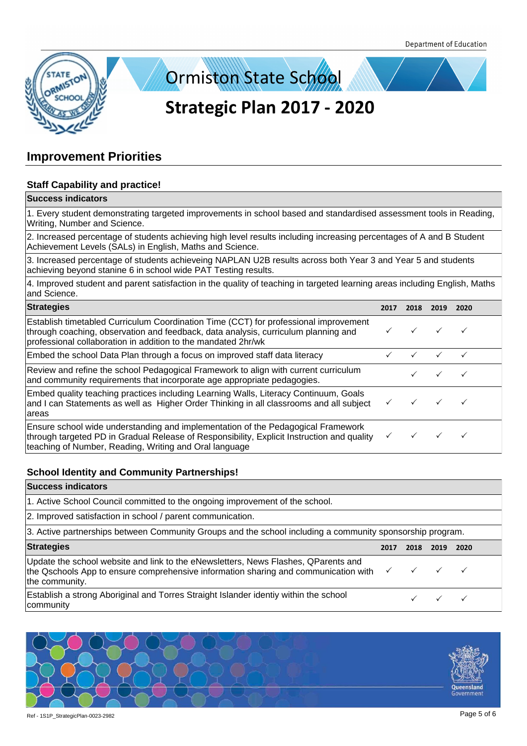



## **Improvement Priorities**

## **Staff Capability and practice!**

#### **Success indicators**

1. Every student demonstrating targeted improvements in school based and standardised assessment tools in Reading, Writing, Number and Science.

2. Increased percentage of students achieving high level results including increasing percentages of A and B Student Achievement Levels (SALs) in English, Maths and Science.

3. Increased percentage of students achieveing NAPLAN U2B results across both Year 3 and Year 5 and students achieving beyond stanine 6 in school wide PAT Testing results.

4. Improved student and parent satisfaction in the quality of teaching in targeted learning areas including English, Maths and Science.

| <b>Strategies</b>                                                                                                                                                                                                                           | 2017 | 2018 | 2019 | 2020 |
|---------------------------------------------------------------------------------------------------------------------------------------------------------------------------------------------------------------------------------------------|------|------|------|------|
| Establish timetabled Curriculum Coordination Time (CCT) for professional improvement<br>through coaching, observation and feedback, data analysis, curriculum planning and<br>professional collaboration in addition to the mandated 2hr/wk |      |      |      |      |
| Embed the school Data Plan through a focus on improved staff data literacy                                                                                                                                                                  |      |      |      |      |
| Review and refine the school Pedagogical Framework to align with current curriculum<br>and community requirements that incorporate age appropriate pedagogies.                                                                              |      |      |      |      |
| Embed quality teaching practices including Learning Walls, Literacy Continuum, Goals<br>and I can Statements as well as Higher Order Thinking in all classrooms and all subject<br>lareas                                                   |      |      |      |      |
| Ensure school wide understanding and implementation of the Pedagogical Framework<br>through targeted PD in Gradual Release of Responsibility, Explicit Instruction and quality<br>teaching of Number, Reading, Writing and Oral language    |      |      |      |      |

### **School Identity and Community Partnerships!**

### **Success indicators**

1. Active School Council committed to the ongoing improvement of the school.

2. Improved satisfaction in school / parent communication.

3. Active partnerships between Community Groups and the school including a community sponsorship program.

| <b>Strategies</b>                                                                                                                                                                                                                  | 2017 | 2018 2019 2020 |                                        |  |
|------------------------------------------------------------------------------------------------------------------------------------------------------------------------------------------------------------------------------------|------|----------------|----------------------------------------|--|
| Update the school website and link to the eNewsletters, News Flashes, QParents and<br>the Qschools App to ensure comprehensive information sharing and communication with $\checkmark$ $\checkmark$ $\checkmark$<br>the community. |      |                |                                        |  |
| Establish a strong Aboriginal and Torres Straight Islander identiy within the school<br>community                                                                                                                                  |      |                | $\checkmark$ $\checkmark$ $\checkmark$ |  |